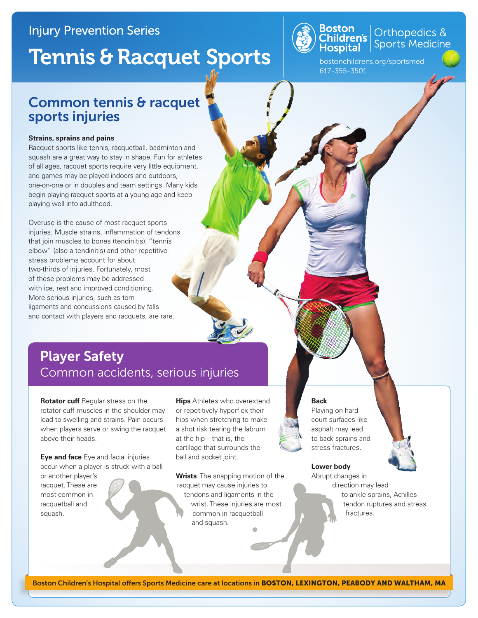## Injury Prevention Series

# Tennis & Racquet Sports



Orthopedics &<br>Sports Medicine

bostonchildrens.org/sportsmed 617-355-3501

## Common tennis & racquet sports injuries

#### **Strains, sprains and pains**

Racquet sports like tennis, racquetball, badminton and squash are a great way to stay in shape. Fun for athletes of all ages, racquet sports require very little equipment, and games may be played indoors and outdoors, one-on-one or in doubles and team settings. Many kids begin playing racquet sports at a young age and keep playing well into adulthood.

Overuse is the cause of most racquet sports injuries. Muscle strains, inflammation of tendons that join muscles to bones (tendinitis), "tennis elbow" (also a tendinitis) and other repetitivestress problems account for about two-thirds of injuries. Fortunately, most of these problems may be addressed with ice, rest and improved conditioning. More serious injuries, such as torn ligaments and concussions caused by falls and contact with players and racquets, are rare.

## Player Safety Common accidents, serious injuries

**Rotator cuff** Regular stress on the rotator cuff muscles in the shoulder may lead to swelling and strains. Pain occurs when players serve or swing the racquet above their heads.

**Eye and face** Eye and facial injuries occur when a player is struck with a ball

or another player's racquet. These are most common in racquetball and squash.

**Hips** Athletes who overextend or repetitively hyperflex their hips when stretching to make a shot risk tearing the labrum at the hip—that is, the cartilage that surrounds the ball and socket joint.

**Wrists** The snapping motion of the racquet may cause injuries to tendons and ligaments in the wrist. These injuries are most common in racquetball and squash.



#### **Back**

Playing on hard court surfaces like asphalt may lead to back sprains and stress fractures.

#### **Lower body**

Abrupt changes in direction may lead to ankle sprains, Achilles tendon ruptures and stress fractures.

Boston Children's Hospital offers Sports Medicine care at locations in BOSTON, LEXINGTON, PEABODY AND WALTHAM, MA